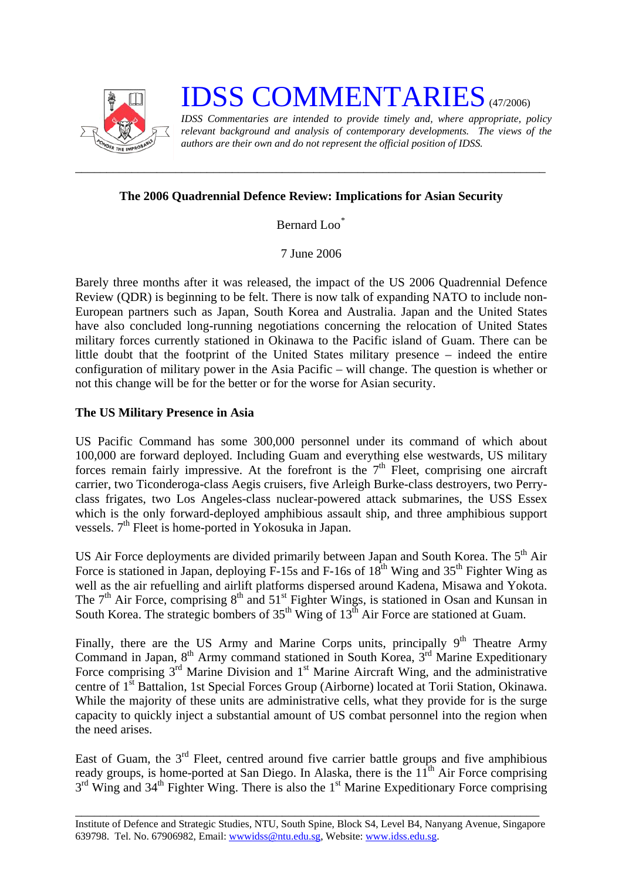

# **IDSS COMMENTARIES** (47/2006)

*IDSS Commentaries are intended to provide timely and, where appropriate, policy relevant background and analysis of contemporary developments. The views of the authors are their own and do not represent the official position of IDSS.* 

## **The 2006 Quadrennial Defence Review: Implications for Asian Security**

*\_\_\_\_\_\_\_\_\_\_\_\_\_\_\_\_\_\_\_\_\_\_\_\_\_\_\_\_\_\_\_\_\_\_\_\_\_\_\_\_\_\_\_\_\_\_\_\_\_\_\_\_\_\_\_\_\_\_\_\_\_\_\_\_\_\_\_\_\_\_\_\_\_\_\_* 

Bernard Loo[\\*](#page-2-0)

7 June 2006

Barely three months after it was released, the impact of the US 2006 Quadrennial Defence Review (QDR) is beginning to be felt. There is now talk of expanding NATO to include non-European partners such as Japan, South Korea and Australia. Japan and the United States have also concluded long-running negotiations concerning the relocation of United States military forces currently stationed in Okinawa to the Pacific island of Guam. There can be little doubt that the footprint of the United States military presence – indeed the entire configuration of military power in the Asia Pacific – will change. The question is whether or not this change will be for the better or for the worse for Asian security.

### **The US Military Presence in Asia**

US Pacific Command has some 300,000 personnel under its command of which about 100,000 are forward deployed. Including Guam and everything else westwards, US military forces remain fairly impressive. At the forefront is the  $7<sup>th</sup>$  Fleet, comprising one aircraft carrier, two Ticonderoga-class Aegis cruisers, five Arleigh Burke-class destroyers, two Perryclass frigates, two Los Angeles-class nuclear-powered attack submarines, the USS Essex which is the only forward-deployed amphibious assault ship, and three amphibious support vessels. 7<sup>th</sup> Fleet is home-ported in Yokosuka in Japan.

US Air Force deployments are divided primarily between Japan and South Korea. The 5<sup>th</sup> Air Force is stationed in Japan, deploying  $F-15s$  and  $F-16s$  of  $18<sup>th</sup>$  Wing and  $35<sup>th</sup>$  Fighter Wing as well as the air refuelling and airlift platforms dispersed around Kadena, Misawa and Yokota. The  $7<sup>th</sup>$  Air Force, comprising  $8<sup>th</sup>$  and  $51<sup>st</sup>$  Fighter Wings, is stationed in Osan and Kunsan in South Korea. The strategic bombers of 35<sup>th</sup> Wing of 13<sup>th</sup> Air Force are stationed at Guam.

Finally, there are the US Army and Marine Corps units, principally  $9<sup>th</sup>$  Theatre Army Command in Japan,  $8<sup>th</sup>$  Army command stationed in South Korea,  $3<sup>rd</sup>$  Marine Expeditionary Force comprising  $3<sup>rd</sup>$  Marine Division and  $1<sup>st</sup>$  Marine Aircraft Wing, and the administrative centre of 1st Battalion, 1st Special Forces Group (Airborne) located at Torii Station, Okinawa. While the majority of these units are administrative cells, what they provide for is the surge capacity to quickly inject a substantial amount of US combat personnel into the region when the need arises.

East of Guam, the  $3<sup>rd</sup>$  Fleet, centred around five carrier battle groups and five amphibious ready groups, is home-ported at San Diego. In Alaska, there is the  $11<sup>th</sup>$  Air Force comprising  $3<sup>rd</sup>$  Wing and  $34<sup>th</sup>$  Fighter Wing. There is also the 1<sup>st</sup> Marine Expeditionary Force comprising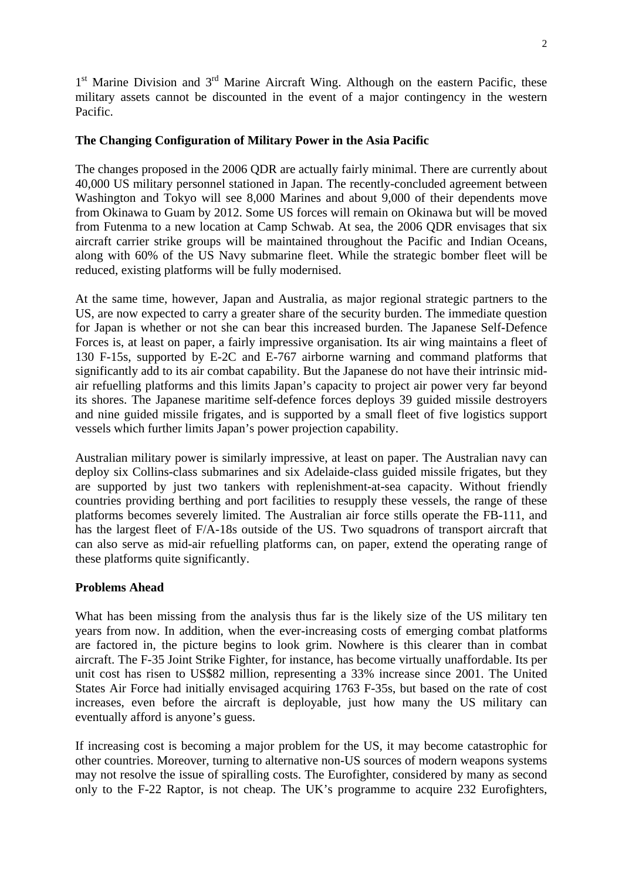$1<sup>st</sup>$  Marine Division and  $3<sup>rd</sup>$  Marine Aircraft Wing. Although on the eastern Pacific, these military assets cannot be discounted in the event of a major contingency in the western Pacific.

#### **The Changing Configuration of Military Power in the Asia Pacific**

The changes proposed in the 2006 QDR are actually fairly minimal. There are currently about 40,000 US military personnel stationed in Japan. The recently-concluded agreement between Washington and Tokyo will see 8,000 Marines and about 9,000 of their dependents move from Okinawa to Guam by 2012. Some US forces will remain on Okinawa but will be moved from Futenma to a new location at Camp Schwab. At sea, the 2006 QDR envisages that six aircraft carrier strike groups will be maintained throughout the Pacific and Indian Oceans, along with 60% of the US Navy submarine fleet. While the strategic bomber fleet will be reduced, existing platforms will be fully modernised.

At the same time, however, Japan and Australia, as major regional strategic partners to the US, are now expected to carry a greater share of the security burden. The immediate question for Japan is whether or not she can bear this increased burden. The Japanese Self-Defence Forces is, at least on paper, a fairly impressive organisation. Its air wing maintains a fleet of 130 F-15s, supported by E-2C and E-767 airborne warning and command platforms that significantly add to its air combat capability. But the Japanese do not have their intrinsic midair refuelling platforms and this limits Japan's capacity to project air power very far beyond its shores. The Japanese maritime self-defence forces deploys 39 guided missile destroyers and nine guided missile frigates, and is supported by a small fleet of five logistics support vessels which further limits Japan's power projection capability.

Australian military power is similarly impressive, at least on paper. The Australian navy can deploy six Collins-class submarines and six Adelaide-class guided missile frigates, but they are supported by just two tankers with replenishment-at-sea capacity. Without friendly countries providing berthing and port facilities to resupply these vessels, the range of these platforms becomes severely limited. The Australian air force stills operate the FB-111, and has the largest fleet of F/A-18s outside of the US. Two squadrons of transport aircraft that can also serve as mid-air refuelling platforms can, on paper, extend the operating range of these platforms quite significantly.

#### **Problems Ahead**

What has been missing from the analysis thus far is the likely size of the US military ten years from now. In addition, when the ever-increasing costs of emerging combat platforms are factored in, the picture begins to look grim. Nowhere is this clearer than in combat aircraft. The F-35 Joint Strike Fighter, for instance, has become virtually unaffordable. Its per unit cost has risen to US\$82 million, representing a 33% increase since 2001. The United States Air Force had initially envisaged acquiring 1763 F-35s, but based on the rate of cost increases, even before the aircraft is deployable, just how many the US military can eventually afford is anyone's guess.

If increasing cost is becoming a major problem for the US, it may become catastrophic for other countries. Moreover, turning to alternative non-US sources of modern weapons systems may not resolve the issue of spiralling costs. The Eurofighter, considered by many as second only to the F-22 Raptor, is not cheap. The UK's programme to acquire 232 Eurofighters,